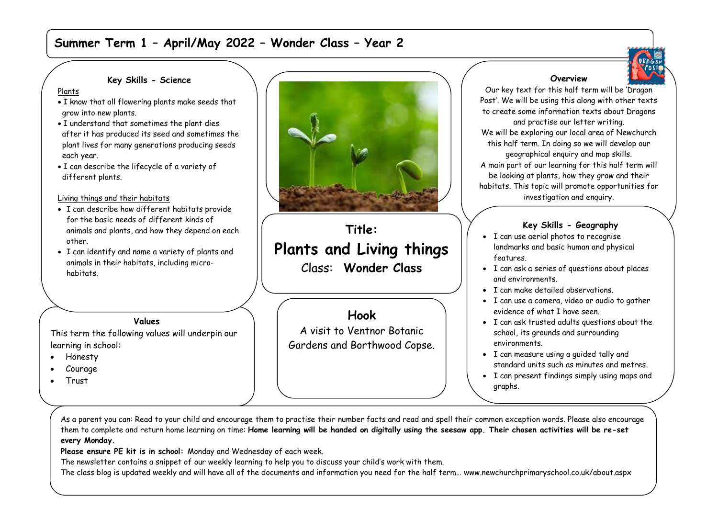# **Summer Term 1 – April/May 2022 – Wonder Class – Year 2**



#### **Key Skills - Science**

Plants

- I know that all flowering plants make seeds that grow into new plants.
- I understand that sometimes the plant dies after it has produced its seed and sometimes the plant lives for many generations producing seeds each year.
- I can describe the lifecycle of a variety of different plants.

#### Living things and their habitats

- I can describe how different habitats provide for the basic needs of different kinds of animals and plants, and how they depend on each other.
- I can identify and name a variety of plants and animals in their habitats, including microhabitats.

### **Values**

This term the following values will underpin our learning in school:

- Honesty
- Courage
- Trust



# **Title: Plants and Living things** Class: **Wonder Class**

**Hook** A visit to Ventnor Botanic Gardens and Borthwood Copse.

## **Overview**

Our key text for this half term will be 'Dragon Post'. We will be using this along with other texts to create some information texts about Dragons and practise our letter writing. We will be exploring our local area of Newchurch this half term. In doing so we will develop our geographical enquiry and map skills. A main part of our learning for this half term will be looking at plants, how they grow and their habitats. This topic will promote opportunities for investigation and enquiry.

## **Key Skills - Geography**

- I can use aerial photos to recognise landmarks and basic human and physical features.
- I can ask a series of questions about places and environments.
- I can make detailed observations.
- I can use a camera, video or audio to gather evidence of what I have seen.
- I can ask trusted adults questions about the school, its grounds and surrounding environments.
- I can measure using a guided tally and standard units such as minutes and metres.
- I can present findings simply using maps and graphs.

fieldwork question or prediction.

 $\sim$  I can reach a simply described conclusion to a simply described conclusion to a simply described conclusion to a simply described conclusion to a simple  $\sim$ 

As a parent you can: Read to your child and encourage them to practise their number facts and read and spell their common exception words. Please also encourage them to complete and return home learning on time: **Home learning will be handed on digitally using the seesaw app. Their chosen activities will be re-set every Monday.** 

**Please ensure PE kit is in school:** Monday and Wednesday of each week.

The newsletter contains a snippet of our weekly learning to help you to discuss your child's work with them.

The class blog is updated weekly and will have all of the documents and information you need for the half term… www.newchurchprimaryschool.co.uk/about.aspx